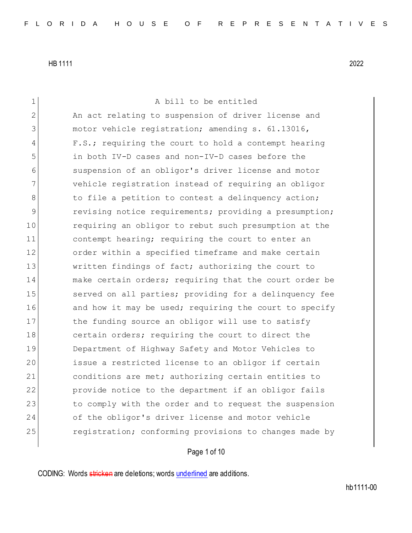1 A bill to be entitled 2 An act relating to suspension of driver license and 3 motor vehicle registration; amending s. 61.13016, 4 F.S.; requiring the court to hold a contempt hearing 5 in both IV-D cases and non-IV-D cases before the 6 suspension of an obligor's driver license and motor 7 vehicle registration instead of requiring an obligor 8 to file a petition to contest a delinquency action; 9 revising notice requirements; providing a presumption; 10 requiring an obligor to rebut such presumption at the 11 contempt hearing; requiring the court to enter an 12 order within a specified timeframe and make certain 13 Written findings of fact; authorizing the court to 14 and make certain orders; requiring that the court order be 15 Served on all parties; providing for a delinquency fee 16 and how it may be used; requiring the court to specify 17 the funding source an obligor will use to satisfy 18 certain orders; requiring the court to direct the 19 Department of Highway Safety and Motor Vehicles to 20 issue a restricted license to an obligor if certain 21 conditions are met; authorizing certain entities to 22 provide notice to the department if an obligor fails 23 to comply with the order and to request the suspension 24 of the obligor's driver license and motor vehicle 25 registration; conforming provisions to changes made by

# Page 1 of 10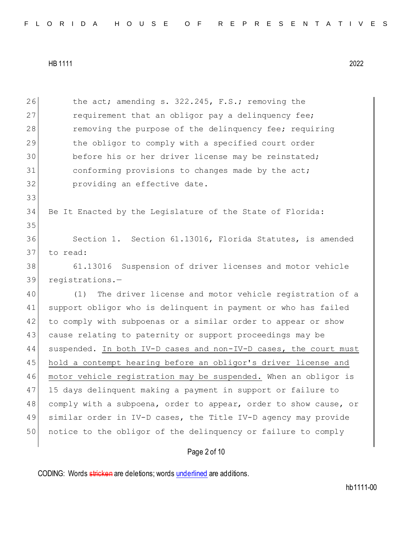| 26 | the act; amending s. 322.245, F.S.; removing the                 |
|----|------------------------------------------------------------------|
| 27 | requirement that an obligor pay a delinquency fee;               |
| 28 | removing the purpose of the delinquency fee; requiring           |
| 29 | the obligor to comply with a specified court order               |
| 30 | before his or her driver license may be reinstated;              |
| 31 | conforming provisions to changes made by the act;                |
| 32 | providing an effective date.                                     |
| 33 |                                                                  |
| 34 | Be It Enacted by the Legislature of the State of Florida:        |
| 35 |                                                                  |
| 36 | Section 1. Section 61.13016, Florida Statutes, is amended        |
| 37 | to read:                                                         |
| 38 | 61.13016 Suspension of driver licenses and motor vehicle         |
| 39 | registrations.-                                                  |
| 40 | (1)<br>The driver license and motor vehicle registration of a    |
| 41 | support obligor who is delinquent in payment or who has failed   |
| 42 | to comply with subpoenas or a similar order to appear or show    |
| 43 | cause relating to paternity or support proceedings may be        |
| 44 | suspended. In both IV-D cases and non-IV-D cases, the court must |
| 45 | hold a contempt hearing before an obligor's driver license and   |
| 46 | motor vehicle registration may be suspended. When an obligor is  |
| 47 | 15 days delinquent making a payment in support or failure to     |
| 48 | comply with a subpoena, order to appear, order to show cause, or |
| 49 | similar order in IV-D cases, the Title IV-D agency may provide   |
| 50 | notice to the obligor of the delinquency or failure to comply    |
|    | Page 2 of 10                                                     |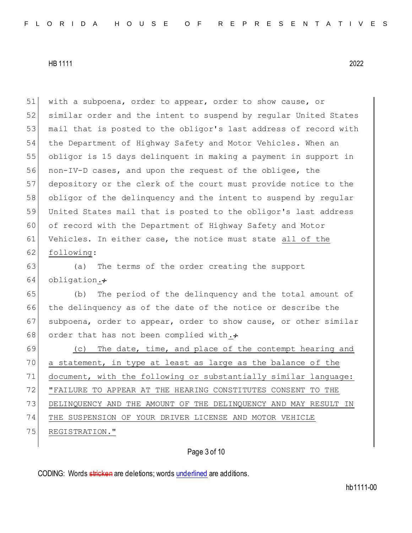with a subpoena, order to appear, order to show cause, or similar order and the intent to suspend by regular United States 53 | mail that is posted to the obligor's last address of record with the Department of Highway Safety and Motor Vehicles. When an obligor is 15 days delinquent in making a payment in support in non-IV-D cases, and upon the request of the obligee, the depository or the clerk of the court must provide notice to the 58 obligor of the delinquency and the intent to suspend by regular United States mail that is posted to the obligor's last address of record with the Department of Highway Safety and Motor Vehicles. In either case, the notice must state all of the 62 following: (a) The terms of the order creating the support 64 obligation. $\div$  (b) The period of the delinquency and the total amount of the delinquency as of the date of the notice or describe the 67 subpoena, order to appear, order to show cause, or other similar

69 (c) The date, time, and place of the contempt hearing and a statement, in type at least as large as the balance of the document, with the following or substantially similar language: "FAILURE TO APPEAR AT THE HEARING CONSTITUTES CONSENT TO THE DELINQUENCY AND THE AMOUNT OF THE DELINQUENCY AND MAY RESULT IN THE SUSPENSION OF YOUR DRIVER LICENSE AND MOTOR VEHICLE 75 REGISTRATION."

# Page 3 of 10

CODING: Words stricken are deletions; words underlined are additions.

68 order that has not been complied with. $\div$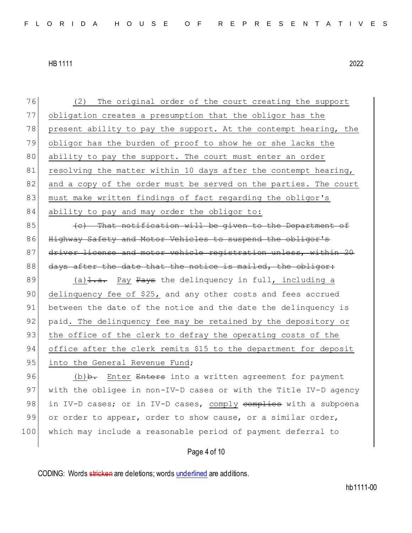76 (2) The original order of the court creating the support 77 obligation creates a presumption that the obligor has the 78 present ability to pay the support. At the contempt hearing, the 79 obligor has the burden of proof to show he or she lacks the 80 ability to pay the support. The court must enter an order 81 resolving the matter within 10 days after the contempt hearing, 82 and a copy of the order must be served on the parties. The court 83 must make written findings of fact regarding the obligor's 84 ability to pay and may order the obligor to:

 $85$  (e) That notification will be given to the Department of 86 Highway Safety and Motor Vehicles to suspend the obligor's 87 driver license and motor vehicle registration unless, within 20  $88$  days after the date that the notice is mailed, the obligor:

89 (a)  $\frac{1}{2}$ . Pay Pays the delinquency in full, including a 90 delinquency fee of \$25, and any other costs and fees accrued 91 between the date of the notice and the date the delinquency is 92 paid. The delinquency fee may be retained by the depository or 93 the office of the clerk to defray the operating costs of the 94 office after the clerk remits \$15 to the department for deposit

95 into the General Revenue Fund;

96 (b) A. Enter Enters into a written agreement for payment 97 with the obligee in non-IV-D cases or with the Title IV-D agency 98 in IV-D cases; or in IV-D cases, comply complies with a subpoena 99 or order to appear, order to show cause, or a similar order, 100 which may include a reasonable period of payment deferral to

Page 4 of 10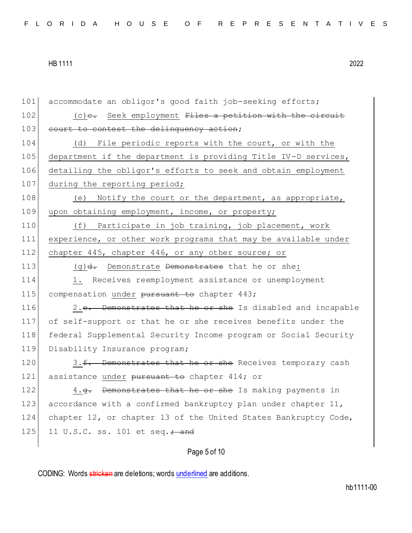101 accommodate an obligor's good faith job-seeking efforts; 102  $(c)$  c. Seek employment Files a petition with the circuit 103 court to contest the delinquency action; 104 (d) File periodic reports with the court, or with the 105 department if the department is providing Title IV-D services, 106 detailing the obligor's efforts to seek and obtain employment 107 during the reporting period; 108 (e) Notify the court or the department, as appropriate, 109 upon obtaining employment, income, or property; 110 (f) Participate in job training, job placement, work 111 experience, or other work programs that may be available under 112 chapter 445, chapter 446, or any other source; or 113  $(g)$   $d$ . Demonstrate Demonstrates that he or she: 114 1. Receives reemployment assistance or unemployment 115 compensation under pursuant to chapter 443; 116 2.e. Demonstrates that he or she Is disabled and incapable 117 of self-support or that he or she receives benefits under the 118 federal Supplemental Security Income program or Social Security 119 Disability Insurance program; 120 3.f. Demonstrates that he or she Receives temporary cash 121 assistance under pursuant to chapter 414; or 122 4.g. Demonstrates that he or she Is making payments in 123 accordance with a confirmed bankruptcy plan under chapter 11, 124 chapter 12, or chapter 13 of the United States Bankruptcy Code, 125 11 U.S.C. ss. 101 et seq.  $\frac{1}{100}$  and

Page 5 of 10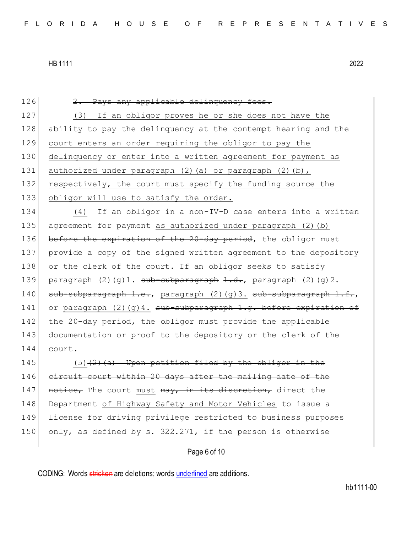126 2. Pays any applicable delinquency fees. 127 (3) If an obligor proves he or she does not have the 128 ability to pay the delinquency at the contempt hearing and the 129 court enters an order requiring the obligor to pay the 130 delinquency or enter into a written agreement for payment as 131 authorized under paragraph  $(2)$  (a) or paragraph  $(2)$  (b), 132 respectively, the court must specify the funding source the 133 obligor will use to satisfy the order. 134 (4) If an obligor in a non-IV-D case enters into a written 135 agreement for payment as authorized under paragraph (2)(b) 136 before the expiration of the 20-day period, the obligor must 137 provide a copy of the signed written agreement to the depository 138 or the clerk of the court. If an obligor seeks to satisfy 139 paragraph  $(2)(q)1.$  sub-subparagraph 1.d., paragraph  $(2)(q)2.$ 140 sub-subparagraph 1.e., paragraph (2)(g)3. sub-subparagraph 1.f., 141 or paragraph (2)(g)4. sub-subparagraph 1.g. before expiration of 142 the 20-day period, the obligor must provide the applicable 143 documentation or proof to the depository or the clerk of the 144 court. 145  $(5)$  (2)(a) Upon petition filed by the obligor in the 146 circuit court within 20 days after the mailing date of the 147 notice, The court must may, in its discretion, direct the 148 Department of Highway Safety and Motor Vehicles to issue a 149 license for driving privilege restricted to business purposes 150 only, as defined by s. 322.271, if the person is otherwise

# Page 6 of 10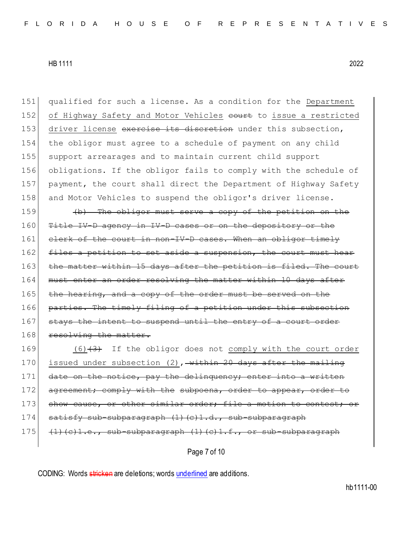151 qualified for such a license. As a condition for the Department 152 of Highway Safety and Motor Vehicles court to issue a restricted 153 driver license exercise its discretion under this subsection, 154 the obligor must agree to a schedule of payment on any child 155 support arrearages and to maintain current child support 156 obligations. If the obligor fails to comply with the schedule of 157 payment, the court shall direct the Department of Highway Safety 158 and Motor Vehicles to suspend the obligor's driver license.  $159$  (b) The obligor must serve a copy of the petition on the 160 Title IV-D agency in IV-D cases or on the depository or the 161 clerk of the court in non-IV-D cases. When an obligor timely 162 files a petition to set aside a suspension, the court must hear 163 the matter within 15 days after the petition is filed. The court 164 must enter an order resolving the matter within 10 days after 165 the hearing, and a copy of the order must be served on the 166 parties. The timely filing of a petition under this subsection 167 stays the intent to suspend until the entry of a court order 168 resolving the matter. 169 (6)(3) If the obligor does not comply with the court order 170 issued under subsection (2), within 20 days after the mailing 171 date on the notice, pay the delinquency; enter into a written 172 agreement; comply with the subpoena, order to appear, order to

173 show cause, or other similar order; file a motion to contest; or

- 174 satisfy sub-subparagraph (1)(c)1.d., sub-subparagraph
- $175$  (1)(c)1.e., sub-subparagraph (1)(c)1.f., or sub-subparagraph

Page 7 of 10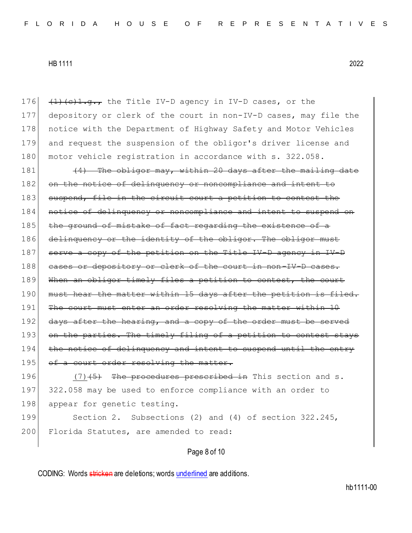176  $(1)(c)1.q.7$  the Title IV-D agency in IV-D cases, or the 177 depository or clerk of the court in non-IV-D cases, may file the 178 notice with the Department of Highway Safety and Motor Vehicles 179 and request the suspension of the obligor's driver license and 180 motor vehicle registration in accordance with s. 322.058.

181  $(4)$  The obligor may, within 20 days after the mailing date 182 on the notice of delinquency or noncompliance and intent to 183 suspend, file in the circuit court a petition to contest the 184 notice of delinquency or noncompliance and intent to suspend on 185 the ground of mistake of fact regarding the existence of a 186 delinquency or the identity of the obligor. The obligor must 187 serve a copy of the petition on the Title IV-D agency in IV-D 188 cases or depository or clerk of the court in non-IV-D cases. 189 When an obligor timely files a petition to contest, the court 190 must hear the matter within 15 days after the petition is filed. 191 The court must enter an order resolving the matter within 10 192 days after the hearing, and a copy of the order must be served 193 on the parties. The timely filing of a petition to contest stays 194 the notice of delinquency and intent to suspend 195 of a court order resolving the matter.

196  $(7)$   $(5)$  The procedures prescribed in This section and s. 197 322.058 may be used to enforce compliance with an order to 198 appear for genetic testing.

199 Section 2. Subsections (2) and (4) of section 322.245, 200 Florida Statutes, are amended to read:

# Page 8 of 10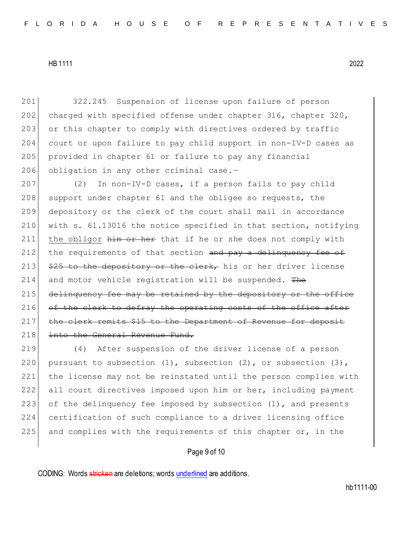201 322.245 Suspension of license upon failure of person 202 charged with specified offense under chapter 316, chapter 320, 203 or this chapter to comply with directives ordered by traffic 204 court or upon failure to pay child support in non-IV-D cases as 205 provided in chapter 61 or failure to pay any financial 206 obligation in any other criminal case.-

207 (2) In non-IV-D cases, if a person fails to pay child 208 support under chapter 61 and the obligee so requests, the 209 depository or the clerk of the court shall mail in accordance 210 with s. 61.13016 the notice specified in that section, notifying 211 the obligor  $\frac{1}{2}$  the  $\frac{1}{2}$  the  $\frac{1}{2}$  the or she does not comply with 212 the requirements of that section  $\frac{1}{2}$  and  $\frac{1}{2}$  by a delinguency fee of 213  $\frac{25}{7}$  to the depository or the clerk, his or her driver license 214 and motor vehicle registration will be suspended. The  $215$  delinquency fee may be retained by the depository or the office 216 of the clerk to defray the operating costs of the office after 217 the clerk remits \$15 to the Department of Revenue for deposit 218 into the General Revenue Fund.

219 (4) After suspension of the driver license of a person 220 pursuant to subsection  $(1)$ , subsection  $(2)$ , or subsection  $(3)$ , 221 the license may not be reinstated until the person complies with 222 all court directives imposed upon him or her, including payment 223 of the delinquency fee imposed by subsection  $(1)$ , and presents 224 certification of such compliance to a driver licensing office 225 and complies with the requirements of this chapter or, in the

Page 9 of 10